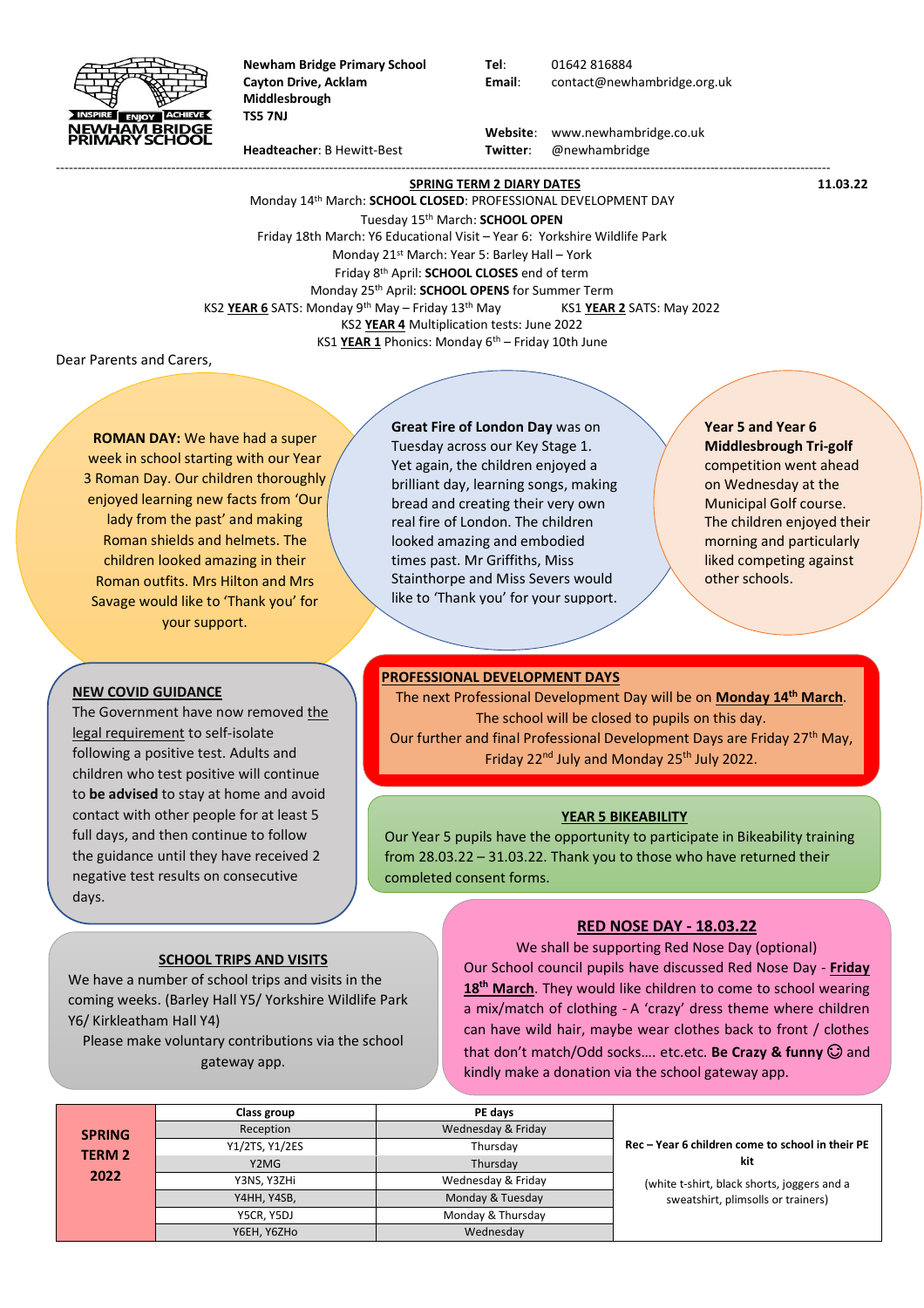

**Newham Bridge Primary School Tel**: 01642 816884 **Middlesbrough TS5 7NJ**

**Cayton Drive, Acklam Email**: contact@newhambridge.org.uk

 **Website**: www.newhambridge.co.uk **Headteacher**: B Hewitt-Best **Twitter**: @newhambridge

-------------------------------------------------------------------------------------------------------------------------------------------------------------------------------------

**SPRING TERM 2 DIARY DATES** 11.03.22 Monday 14 th March: **SCHOOL CLOSED**: PROFESSIONAL DEVELOPMENT DAY Tuesday 15 th March: **SCHOOL OPEN** Friday 18th March: Y6 Educational Visit – Year 6: Yorkshire Wildlife Park Monday 21<sup>st</sup> March: Year 5: Barley Hall - York Friday 8 th April: **SCHOOL CLOSES** end of term Monday 25 th April: **SCHOOL OPENS** for Summer Term KS2 **YEAR 6** SATS: Monday 9<sup>th</sup> May – Friday 13<sup>th</sup> May KS1 **YEAR 2** SATS: May 2022 KS2 **YEAR 4** Multiplication tests: June 2022 KS1 **YEAR 1** Phonics: Monday 6th – Friday 10th June

Dear Parents and Carers,

**ROMAN DAY:** We have had a super week in school starting with our Year 3 Roman Day. Our children thoroughly enjoyed learning new facts from 'Our lady from the past' and making Roman shields and helmets. The children looked amazing in their Roman outfits. Mrs Hilton and Mrs Savage would like to 'Thank you' for your support.

### **NEW COVID GUIDANCE**

to **be advised** to stay at home and avoid contact with other people for at least 5 The Government have now removed the legal requirement to self-isolate following a positive test. Adults and children who test positive will continue full days, and then continue to follow the guidance until they have received 2 negative test results on consecutive days.

# **SCHOOL TRIPS AND VISITS**

We have a number of school trips and visits in the coming weeks. (Barley Hall Y5/ Yorkshire Wildlife Park Y6/ Kirkleatham Hall Y4)

Please make voluntary contributions via the school gateway app.

## **Great Fire of London Day** was on

Tuesday across our Key Stage 1. Yet again, the children enjoyed a brilliant day, learning songs, making bread and creating their very own real fire of London. The children looked amazing and embodied times past. Mr Griffiths, Miss Stainthorpe and Miss Severs would like to 'Thank you' for your support.

**Year 5 and Year 6 Middlesbrough Tri-golf** competition went ahead on Wednesday at the Municipal Golf course. The children enjoyed their morning and particularly liked competing against other schools.

### **PROFESSIONAL DEVELOPMENT DAYS**

The next Professional Development Day will be on **Monday 14th March**. The school will be closed to pupils on this day. Our further and final Professional Development Days are Friday 27<sup>th</sup> May, Friday 22<sup>nd</sup> July and Monday 25<sup>th</sup> July 2022.

#### **YEAR 5 BIKEABILITY**

Our Year 5 pupils have the opportunity to participate in Bikeability training from 28.03.22 – 31.03.22. Thank you to those who have returned their completed consent forms.

### **RED NOSE DAY - 18.03.22**

We shall be supporting Red Nose Day (optional) Our School council pupils have discussed Red Nose Day - **Friday**  18<sup>th</sup> March. They would like children to come to school wearing a mix/match of clothing - A 'crazy' dress theme where children can have wild hair, maybe wear clothes back to front / clothes that don't match/Odd socks.... etc.etc. **Be Crazy & funny**  $\odot$  and kindly make a donation via the school gateway app.

|               | Class group    | PE days            |                                                         |
|---------------|----------------|--------------------|---------------------------------------------------------|
| <b>SPRING</b> | Reception      | Wednesday & Friday |                                                         |
| <b>TERM 2</b> | Y1/2TS, Y1/2ES | Thursdav           | Rec - Year 6 children come to school in their PE<br>kit |
|               | Y2MG           | Thursdav           |                                                         |
| 2022          | Y3NS, Y3ZHi    | Wednesday & Friday | (white t-shirt, black shorts, joggers and a             |
|               | Y4HH, Y4SB,    | Monday & Tuesday   | sweatshirt, plimsolls or trainers)                      |
|               | Y5CR, Y5DJ     | Monday & Thursday  |                                                         |
|               | Y6EH, Y6ZHo    | Wednesday          |                                                         |